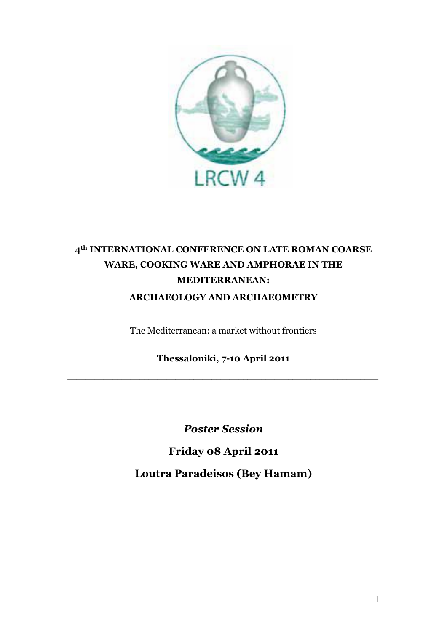

# **4th INTERNATIONAL CONFERENCE ON LATE ROMAN COARSE WARE, COOKING WARE AND AMPHORAE IN THE MEDITERRANEAN: ARCHAEOLOGY AND ARCHAEOMETRY**

The Mediterranean: a market without frontiers

**Thessaloniki, 7-10 April 2011**

**\_\_\_\_\_\_\_\_\_\_\_\_\_\_\_\_\_\_\_\_\_\_\_\_\_\_\_\_\_\_\_\_\_\_\_\_\_\_\_\_\_\_\_\_\_\_\_\_\_\_\_\_\_\_\_\_\_\_\_\_\_\_\_\_\_\_\_\_\_**

*Poster Session*

**Friday 08 April 2011 Loutra Paradeisos (Bey Hamam)**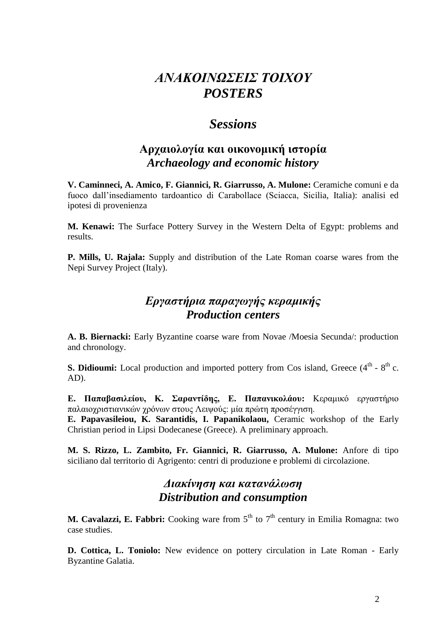# *ΑΝΑΚΟΙΝΩΣΕΙΣ ΤΟΙΧΟΥ POSTERS*

## *Sessions*

#### **Αργαιολογία και οικονομική ιστορία** *Archaeology and economic history*

**V. Caminneci, A. Amico, F. Giannici, R. Giarrusso, A. Mulone:** Ceramiche comuni e da fuoco dall'insediamento tardoantico di Carabollace (Sciacca, Sicilia, Italia): analisi ed ipotesi di provenienza

**M. Kenawi:** The Surface Pottery Survey in the Western Delta of Egypt: problems and results.

**P. Mills, U. Rajala:** Supply and distribution of the Late Roman coarse wares from the Nepi Survey Project (Italy).

## *Εργαστήρια παραγωγής κεραμικής Production centers*

**A. B. Biernacki:** Early Byzantine coarse ware from Novae /Moesia Secunda/: production and chronology.

**S. Didioumi:** Local production and imported pottery from Cos island, Greece  $(4<sup>th</sup> - 8<sup>th</sup> c)$ . AD).

**Ε. Παπαβαζιλείοσ, Κ. Σαρανηίδης, Ε. Παπανικολάοσ:** Κεραμικό εργαστήριο παλαιοχριστιανικών χρόνων στους Λειψούς: μία πρώτη προσέγγιση.

**E. Papavasileiou, K. Sarantidis, I. Papanikolaou,** Ceramic workshop of the Early Christian period in Lipsi Dodecanese (Greece). A preliminary approach.

**M. S. Rizzo, L. Zambito, Fr. Giannici, R. Giarrusso, A. Mulone:** Anfore di tipo siciliano dal territorio di Agrigento: centri di produzione e problemi di circolazione.

#### *Διακίνηση και κατανάλωση Distribution and consumption*

**M. Cavalazzi, E. Fabbri:** Cooking ware from 5<sup>th</sup> to 7<sup>th</sup> century in Emilia Romagna: two case studies.

**D. Cottica, L. Toniolo:** New evidence on pottery circulation in Late Roman - Early Byzantine Galatia.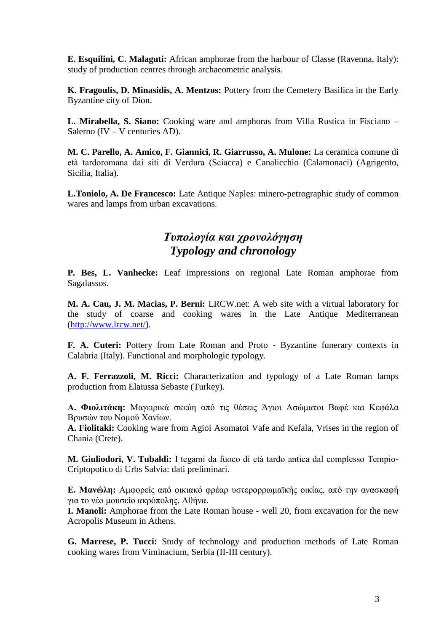**E. Esquilini, C. Malaguti:** African amphorae from the harbour of Classe (Ravenna, Italy): study of production centres through archaeometric analysis.

**K. Fragoulis, D. Minasidis, A. Mentzos:** Pottery from the Cemetery Basilica in the Early Byzantine сity of Dion.

**L. Mirabella, S. Siano:** Cooking ware and amphoras from Villa Rustica in Fisciano – Salerno (IV – V centuries AD).

**M. C. Parello, A. Amico, F. Giannici, R. Giarrusso, A. Mulone:** La ceramica comune di età tardoromana dai siti di Verdura (Sciacca) e Canalicchio (Calamonaci) (Agrigento, Sicilia, Italia).

**L.Toniolo, A. De Francesco:** Late Antique Naples: minero-petrographic study of common wares and lamps from urban excavations.

#### *Τσπολογία και τρονολόγηση Typology and chronology*

**P. Bes, L. Vanhecke:** Leaf impressions on regional Late Roman amphorae from Sagalassos.

**M. A. Cau, J. M. Macias, P. Berni:** LRCW.net: A web site with a virtual laboratory for the study of coarse and cooking wares in the Late Antique Mediterranean [\(http://www.lrcw.net/\)](http://www.lrcw.net/).

**F. A. Cuteri:** Pottery from Late Roman and Proto - Byzantine funerary contexts in Calabria (Italy). Functional and morphologic typology.

**A. F. Ferrazzoli, M. Ricci:** Characterization and typology of a Late Roman lamps production from Elaiussa Sebaste (Turkey).

**Α. Φιολιηάκη:** Μαγειρικά σκεύη από τις θέσεις Άγιοι Ασώματοι Βαυέ και Κευάλα Βρυσών του Νομού Χανίων.

**A. Fiolitaki:** Cooking ware from Agioi Asomatoi Vafe and Kefala, Vrises in the region of Chania (Crete).

**M. Giuliodori, V. Tubaldi:** I tegami da fuoco di età tardo antica dal complesso Tempio-Criptopotico di Urbs Salvia: dati preliminari.

**Ε. Μανώλη:** Αμφορείς από οικιακό φρέαρ υστερορρωμαϊκής οικίας, από την ανασκαφή για το νέο μοσσείο ακρόπολης, Αθήνα.

**I. Manoli:** Amphorae from the Late Roman house - well 20, from excavation for the new Acropolis Museum in Athens.

**G. Marrese, P. Tucci:** Study of technology and production methods of Late Roman cooking wares from Viminacium, Serbia (II-III century).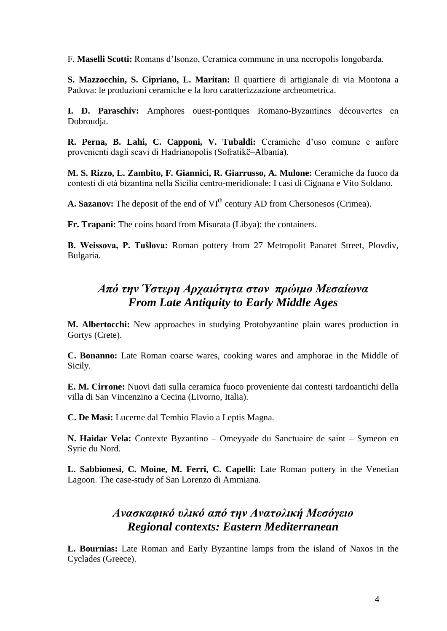F. **Maselli Scotti:** Romans d'Isonzo, Ceramica commune in una necropolis longobarda.

**S. Mazzocchin, S. Cipriano, L. Maritan:** Il quartiere di artigianale di via Montona a Padova: le produzioni ceramiche e la loro caratterizzazione archeometrica.

**I. D. Paraschiv:** Amphores ouest-pontiques Romano-Byzantines découvertes en Dobroudja.

**R. Perna, B. Lahi, C. Capponi, V. Tubaldi:** Ceramiche d'uso comune e anfore provenienti dagli scavi di Hadrianopolis (Sofratikë–Albania).

**M. S. Rizzo, L. Zambito, F. Giannici, R. Giarrusso, A. Mulone:** Ceramiche da fuoco da contesti di età bizantina nella Sicilia centro-meridionale: I casi di Cignana e Vito Soldano.

A. Sazanov: The deposit of the end of VI<sup>th</sup> century AD from Chersonesos (Crimea).

**Fr. Trapani:** The coins hoard from Misurata (Libya): the containers.

**B. Weissova, P. Tušlova:** Roman pottery from 27 Metropolit Panaret Street, Plovdiv, Bulgaria.

#### *Από την Ύστερη Αρταιότητα στον πρώιμο Μεσαίωνα From Late Antiquity to Early Middle Ages*

**M. Albertocchi:** New approaches in studying Protobyzantine plain wares production in Gortys (Crete).

**C. Bonanno:** Late Roman coarse wares, cooking wares and amphorae in the Middle of Sicily.

**E. M. Cirrone:** Nuovi dati sulla ceramica fuoco proveniente dai contesti tardoantichi della villa di San Vincenzino a Cecina (Livorno, Italia).

**C. De Masi:** Lucerne dal Tembio Flavio a Leptis Magna.

**N. Haidar Vela:** Contexte Byzantino – Omeyyade du Sanctuaire de saint – Symeon en Syrie du Nord.

**L. Sabbionesi, C. Moine, M. Ferri, C. Capelli:** Late Roman pottery in the Venetian Lagoon. The case-study of San Lorenzo di Ammiana.

#### *Ανασκαυικό σλικό από την Ανατολική Μεσόγειο Regional contexts: Eastern Mediterranean*

**L. Bournias:** Late Roman and Early Byzantine lamps from the island of Naxos in the Cyclades (Greece).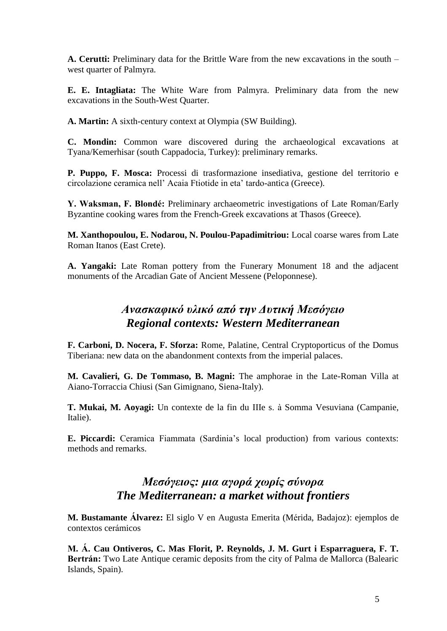**A. Cerutti:** Preliminary data for the Brittle Ware from the new excavations in the south – west quarter of Palmyra.

**E. E. Intagliata:** The White Ware from Palmyra. Preliminary data from the new excavations in the South-West Quarter.

**A. Martin:** A sixth-century context at Olympia (SW Building).

**C. Mondin:** Common ware discovered during the archaeological excavations at Tyana/Kemerhisar (south Cappadocia, Turkey): preliminary remarks.

**P. Puppo, F. Mosca:** Processi di trasformazione insediativa, gestione del territorio e circolazione ceramica nell' Acaia Ftiotide in eta' tardo-antica (Greece).

**Y. Waksman, F. Blondé:** Preliminary archaeometric investigations of Late Roman/Early Byzantine cooking wares from the French-Greek excavations at Thasos (Greece).

**M. Xanthopoulou, E. Nodarou, N. Poulou-Papadimitriou:** Local coarse wares from Late Roman Itanos (East Crete).

**A. Yangaki:** Late Roman pottery from the Funerary Monument 18 and the adjacent monuments of the Arcadian Gate of Ancient Messene (Peloponnese).

#### *Ανασκαυικό σλικό από την Δστική Μεσόγειο Regional contexts: Western Mediterranean*

**F. Carboni, D. Nocera, F. Sforza:** Rome, Palatine, Central Cryptoporticus of the Domus Tiberiana: new data on the abandonment contexts from the imperial palaces.

**M. Cavalieri, G. De Tommaso, B. Magni:** The amphorae in the Late-Roman Villa at Aiano-Torraccia Chiusi (San Gimignano, Siena-Italy).

**T. Mukai, M. Aoyagi:** Un contexte de la fin du IIIe s. à Somma Vesuviana (Campanie, Italie).

**E. Piccardi:** Ceramica Fiammata (Sardinia's local production) from various contexts: methods and remarks.

## *Μεσόγειος: μια αγορά τωρίς σύνορα The Mediterranean: a market without frontiers*

**M. Bustamante Álvarez:** El siglo V en Augusta Emerita (Mérida, Badajoz): ejemplos de contextos cerámicos

**M. Á. Cau Ontiveros, C. Mas Florit, P. Reynolds, J. M. Gurt i Esparraguera, F. T. Bertrán:** Two Late Antique ceramic deposits from the city of Palma de Mallorca (Balearic Islands, Spain).